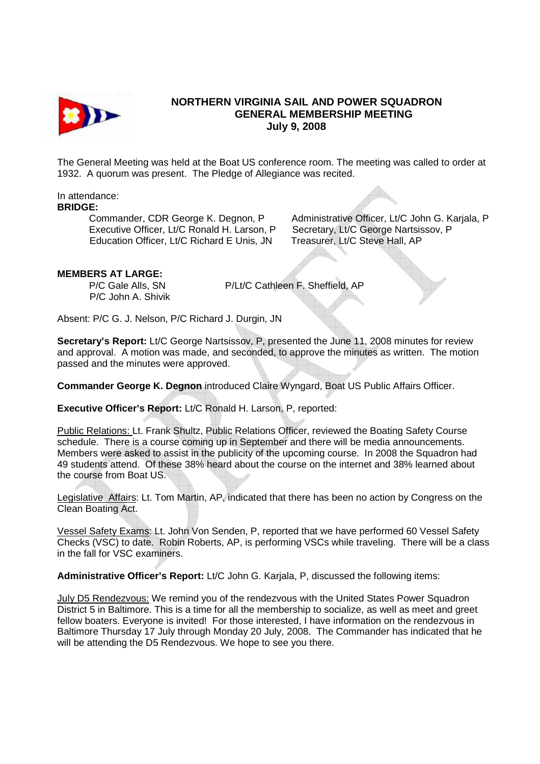

## **NORTHERN VIRGINIA SAIL AND POWER SQUADRON GENERAL MEMBERSHIP MEETING July 9, 2008**

The General Meeting was held at the Boat US conference room. The meeting was called to order at 1932. A quorum was present. The Pledge of Allegiance was recited.

In attendance:

## **BRIDGE:**

Executive Officer, Lt/C Ronald H. Larson, P Secretary, Lt/C George Nartsissov, P Education Officer, Lt/C Richard E Unis, JN Treasurer, Lt/C Steve Hall, AP

Commander, CDR George K. Degnon, P Administrative Officer, Lt/C John G. Karjala, P

## **MEMBERS AT LARGE:**

P/C John A. Shivik

P/C Gale Alls, SN P/Lt/C Cathleen F. Sheffield, AP

Absent: P/C G. J. Nelson, P/C Richard J. Durgin, JN

**Secretary's Report:** Lt/C George Nartsissov, P, presented the June 11, 2008 minutes for review and approval. A motion was made, and seconded, to approve the minutes as written. The motion passed and the minutes were approved.

**Commander George K. Degnon** introduced Claire Wyngard, Boat US Public Affairs Officer.

**Executive Officer's Report:** Lt/C Ronald H. Larson, P, reported:

Public Relations: Lt. Frank Shultz, Public Relations Officer, reviewed the Boating Safety Course schedule. There is a course coming up in September and there will be media announcements. Members were asked to assist in the publicity of the upcoming course. In 2008 the Squadron had 49 students attend. Of these 38% heard about the course on the internet and 38% learned about the course from Boat US.

Legislative Affairs: Lt. Tom Martin, AP, indicated that there has been no action by Congress on the Clean Boating Act.

Vessel Safety Exams: Lt. John Von Senden, P, reported that we have performed 60 Vessel Safety Checks (VSC) to date. Robin Roberts, AP, is performing VSCs while traveling. There will be a class in the fall for VSC examiners.

**Administrative Officer's Report:** Lt/C John G. Karjala, P, discussed the following items:

July D5 Rendezvous: We remind you of the rendezvous with the United States Power Squadron District 5 in Baltimore. This is a time for all the membership to socialize, as well as meet and greet fellow boaters. Everyone is invited! For those interested, I have information on the rendezvous in Baltimore Thursday 17 July through Monday 20 July, 2008. The Commander has indicated that he will be attending the D5 Rendezvous. We hope to see you there.